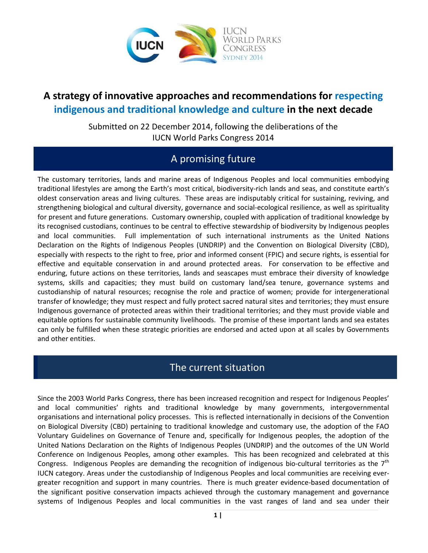

# **A strategy of innovative approaches and recommendations for respecting indigenous and traditional knowledge and culture in the next decade**

Submitted on 22 December 2014, following the deliberations of the IUCN World Parks Congress 2014

## A promising future

The customary territories, lands and marine areas of Indigenous Peoples and local communities embodying traditional lifestyles are among the Earth's most critical, biodiversity-rich lands and seas, and constitute earth's oldest conservation areas and living cultures. These areas are indisputably critical for sustaining, reviving, and strengthening biological and cultural diversity, governance and social-ecological resilience, as well as spirituality for present and future generations. Customary ownership, coupled with application of traditional knowledge by its recognised custodians, continues to be central to effective stewardship of biodiversity by Indigenous peoples and local communities. Full implementation of such international instruments as the United Nations Declaration on the Rights of Indigenous Peoples (UNDRIP) and the Convention on Biological Diversity (CBD), especially with respects to the right to free, prior and informed consent (FPIC) and secure rights, is essential for effective and equitable conservation in and around protected areas. For conservation to be effective and enduring, future actions on these territories, lands and seascapes must embrace their diversity of knowledge systems, skills and capacities; they must build on customary land/sea tenure, governance systems and custodianship of natural resources; recognise the role and practice of women; provide for intergenerational transfer of knowledge; they must respect and fully protect sacred natural sites and territories; they must ensure Indigenous governance of protected areas within their traditional territories; and they must provide viable and equitable options for sustainable community livelihoods. The promise of these important lands and sea estates can only be fulfilled when these strategic priorities are endorsed and acted upon at all scales by Governments and other entities.

## The current situation

Since the 2003 World Parks Congress, there has been increased recognition and respect for Indigenous Peoples' and local communities' rights and traditional knowledge by many governments, intergovernmental organisations and international policy processes. This is reflected internationally in decisions of the Convention on Biological Diversity (CBD) pertaining to traditional knowledge and customary use, the adoption of the FAO Voluntary Guidelines on Governance of Tenure and, specifically for Indigenous peoples, the adoption of the United Nations Declaration on the Rights of Indigenous Peoples (UNDRIP) and the outcomes of the UN World Conference on Indigenous Peoples, among other examples. This has been recognized and celebrated at this Congress. Indigenous Peoples are demanding the recognition of indigenous bio-cultural territories as the  $7<sup>th</sup>$ IUCN category. Areas under the custodianship of Indigenous Peoples and local communities are receiving evergreater recognition and support in many countries. There is much greater evidence-based documentation of the significant positive conservation impacts achieved through the customary management and governance systems of Indigenous Peoples and local communities in the vast ranges of land and sea under their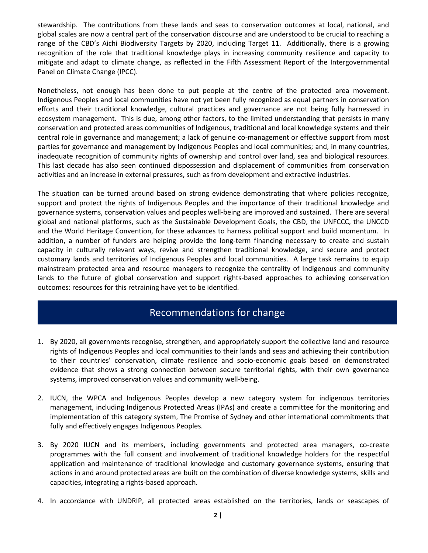stewardship. The contributions from these lands and seas to conservation outcomes at local, national, and global scales are now a central part of the conservation discourse and are understood to be crucial to reaching a range of the CBD's Aichi Biodiversity Targets by 2020, including Target 11. Additionally, there is a growing recognition of the role that traditional knowledge plays in increasing community resilience and capacity to mitigate and adapt to climate change, as reflected in the Fifth Assessment Report of the Intergovernmental Panel on Climate Change (IPCC).

Nonetheless, not enough has been done to put people at the centre of the protected area movement. Indigenous Peoples and local communities have not yet been fully recognized as equal partners in conservation efforts and their traditional knowledge, cultural practices and governance are not being fully harnessed in ecosystem management. This is due, among other factors, to the limited understanding that persists in many conservation and protected areas communities of Indigenous, traditional and local knowledge systems and their central role in governance and management; a lack of genuine co-management or effective support from most parties for governance and management by Indigenous Peoples and local communities; and, in many countries, inadequate recognition of community rights of ownership and control over land, sea and biological resources. This last decade has also seen continued dispossession and displacement of communities from conservation activities and an increase in external pressures, such as from development and extractive industries.

The situation can be turned around based on strong evidence demonstrating that where policies recognize, support and protect the rights of Indigenous Peoples and the importance of their traditional knowledge and governance systems, conservation values and peoples well-being are improved and sustained. There are several global and national platforms, such as the Sustainable Development Goals, the CBD, the UNFCCC, the UNCCD and the World Heritage Convention, for these advances to harness political support and build momentum. In addition, a number of funders are helping provide the long-term financing necessary to create and sustain capacity in culturally relevant ways, revive and strengthen traditional knowledge, and secure and protect customary lands and territories of Indigenous Peoples and local communities. A large task remains to equip mainstream protected area and resource managers to recognize the centrality of Indigenous and community lands to the future of global conservation and support rights-based approaches to achieving conservation outcomes: resources for this retraining have yet to be identified.

### Recommendations for change

- 1. By 2020, all governments recognise, strengthen, and appropriately support the collective land and resource rights of Indigenous Peoples and local communities to their lands and seas and achieving their contribution to their countries' conservation, climate resilience and socio-economic goals based on demonstrated evidence that shows a strong connection between secure territorial rights, with their own governance systems, improved conservation values and community well-being.
- 2. IUCN, the WPCA and Indigenous Peoples develop a new category system for indigenous territories management, including Indigenous Protected Areas (IPAs) and create a committee for the monitoring and implementation of this category system, The Promise of Sydney and other international commitments that fully and effectively engages Indigenous Peoples.
- 3. By 2020 IUCN and its members, including governments and protected area managers, co-create programmes with the full consent and involvement of traditional knowledge holders for the respectful application and maintenance of traditional knowledge and customary governance systems, ensuring that actions in and around protected areas are built on the combination of diverse knowledge systems, skills and capacities, integrating a rights-based approach.
- 4. In accordance with UNDRIP, all protected areas established on the territories, lands or seascapes of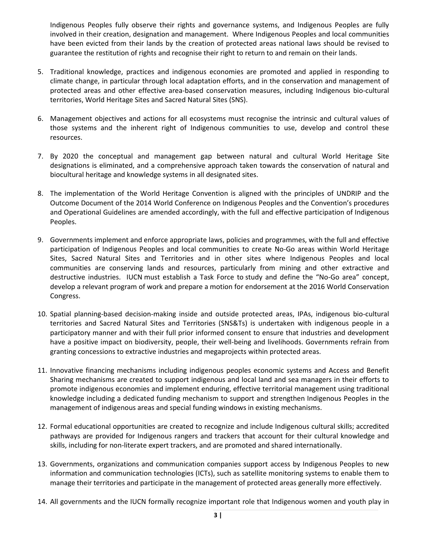Indigenous Peoples fully observe their rights and governance systems, and Indigenous Peoples are fully involved in their creation, designation and management. Where Indigenous Peoples and local communities have been evicted from their lands by the creation of protected areas national laws should be revised to guarantee the restitution of rights and recognise their right to return to and remain on their lands.

- 5. Traditional knowledge, practices and indigenous economies are promoted and applied in responding to climate change, in particular through local adaptation efforts, and in the conservation and management of protected areas and other effective area-based conservation measures, including Indigenous bio-cultural territories, World Heritage Sites and Sacred Natural Sites (SNS).
- 6. Management objectives and actions for all ecosystems must recognise the intrinsic and cultural values of those systems and the inherent right of Indigenous communities to use, develop and control these resources.
- 7. By 2020 the conceptual and management gap between natural and cultural World Heritage Site designations is eliminated, and a comprehensive approach taken towards the conservation of natural and biocultural heritage and knowledge systems in all designated sites.
- 8. The implementation of the World Heritage Convention is aligned with the principles of UNDRIP and the Outcome Document of the 2014 World Conference on Indigenous Peoples and the Convention's procedures and Operational Guidelines are amended accordingly, with the full and effective participation of Indigenous Peoples.
- 9. Governments implement and enforce appropriate laws, policies and programmes, with the full and effective participation of Indigenous Peoples and local communities to create No-Go areas within World Heritage Sites, Sacred Natural Sites and Territories and in other sites where Indigenous Peoples and local communities are conserving lands and resources, particularly from mining and other extractive and destructive industries. IUCN must establish a Task Force to study and define the "No-Go area" concept, develop a relevant program of work and prepare a motion for endorsement at the 2016 World Conservation Congress.
- 10. Spatial planning-based decision-making inside and outside protected areas, IPAs, indigenous bio-cultural territories and Sacred Natural Sites and Territories (SNS&Ts) is undertaken with indigenous people in a participatory manner and with their full prior informed consent to ensure that industries and development have a positive impact on biodiversity, people, their well-being and livelihoods. Governments refrain from granting concessions to extractive industries and megaprojects within protected areas.
- 11. Innovative financing mechanisms including indigenous peoples economic systems and Access and Benefit Sharing mechanisms are created to support indigenous and local land and sea managers in their efforts to promote indigenous economies and implement enduring, effective territorial management using traditional knowledge including a dedicated funding mechanism to support and strengthen Indigenous Peoples in the management of indigenous areas and special funding windows in existing mechanisms.
- 12. Formal educational opportunities are created to recognize and include Indigenous cultural skills; accredited pathways are provided for Indigenous rangers and trackers that account for their cultural knowledge and skills, including for non-literate expert trackers, and are promoted and shared internationally.
- 13. Governments, organizations and communication companies support access by Indigenous Peoples to new information and communication technologies (ICTs), such as satellite monitoring systems to enable them to manage their territories and participate in the management of protected areas generally more effectively.
- 14. All governments and the IUCN formally recognize important role that Indigenous women and youth play in